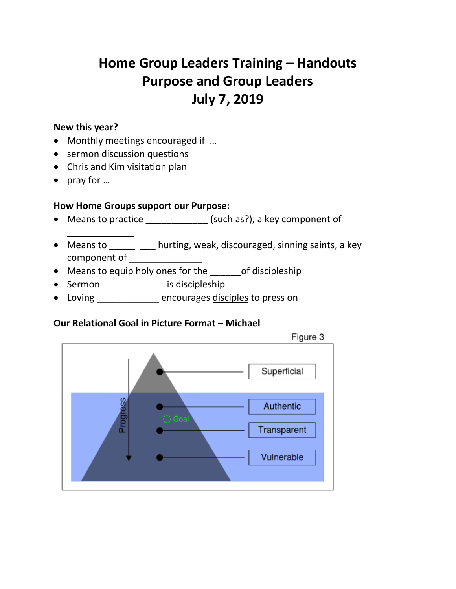# **Home Group Leaders Training – Handouts Purpose and Group Leaders July 7, 2019**

#### **New this year?**

- Monthly meetings encouraged if …
- sermon discussion questions
- Chris and Kim visitation plan
- $\bullet$  pray for  $\dots$

 $\overline{\phantom{a}}$  , where  $\overline{\phantom{a}}$ 

## **How Home Groups support our Purpose:**

- Means to practice \_\_\_\_\_\_\_\_\_\_\_\_\_ (such as?), a key component of
- Means to \_\_\_\_\_ \_\_\_ hurting, weak, discouraged, sinning saints, a key component of
- Means to equip holy ones for the of discipleship
- Sermon \_\_\_\_\_\_\_\_\_\_\_\_\_ is discipleship
- Loving \_\_\_\_\_\_\_\_\_\_\_\_ encourages disciples to press on

#### **Our Relational Goal in Picture Format – Michael**

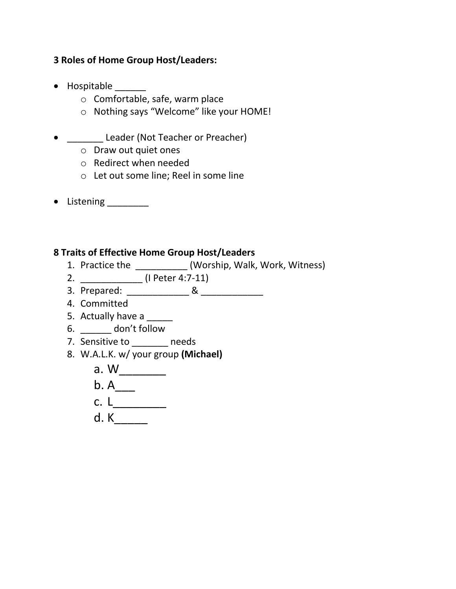## **3 Roles of Home Group Host/Leaders:**

- Hospitable
	- o Comfortable, safe, warm place
	- o Nothing says "Welcome" like your HOME!
- \_\_\_\_\_\_\_\_ Leader (Not Teacher or Preacher)
	- o Draw out quiet ones
	- o Redirect when needed
	- o Let out some line; Reel in some line
- Listening \_\_\_\_\_\_\_\_

# **8 Traits of Effective Home Group Host/Leaders**

- 1. Practice the \_\_\_\_\_\_\_\_\_\_ (Worship, Walk, Work, Witness)
- 2. \_\_\_\_\_\_\_\_\_\_\_\_ (I Peter 4:7-11)
- 3. Prepared: \_\_\_\_\_\_\_\_\_\_\_\_ & \_\_\_\_\_\_\_\_\_\_\_\_
- 4. Committed
- 5. Actually have a \_\_\_\_\_
- 6. \_\_\_\_\_\_ don't follow
- 7. Sensitive to \_\_\_\_\_\_\_ needs
- 8. W.A.L.K. w/ your group **(Michael)**
	- a. W\_\_\_\_\_\_\_
	- $b. A$ <sub>\_\_\_\_</sub>
	- c. L\_\_\_\_\_\_\_\_
	- d. K\_\_\_\_\_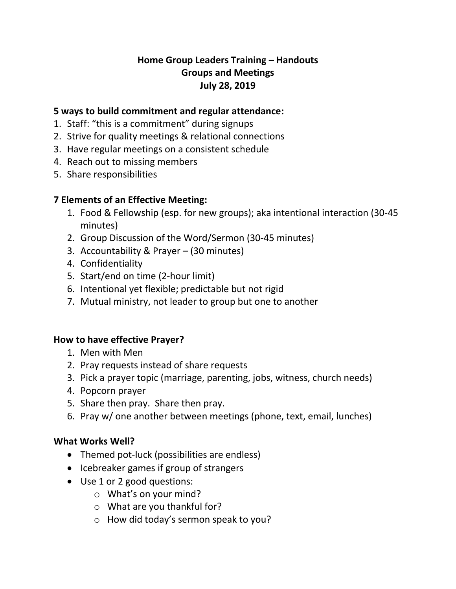# **Home Group Leaders Training – Handouts Groups and Meetings July 28, 2019**

## **5 ways to build commitment and regular attendance:**

- 1. Staff: "this is a commitment" during signups
- 2. Strive for quality meetings & relational connections
- 3. Have regular meetings on a consistent schedule
- 4. Reach out to missing members
- 5. Share responsibilities

# **7 Elements of an Effective Meeting:**

- 1. Food & Fellowship (esp. for new groups); aka intentional interaction (30-45 minutes)
- 2. Group Discussion of the Word/Sermon (30-45 minutes)
- 3. Accountability & Prayer (30 minutes)
- 4. Confidentiality
- 5. Start/end on time (2-hour limit)
- 6. Intentional yet flexible; predictable but not rigid
- 7. Mutual ministry, not leader to group but one to another

# **How to have effective Prayer?**

- 1. Men with Men
- 2. Pray requests instead of share requests
- 3. Pick a prayer topic (marriage, parenting, jobs, witness, church needs)
- 4. Popcorn prayer
- 5. Share then pray. Share then pray.
- 6. Pray w/ one another between meetings (phone, text, email, lunches)

# **What Works Well?**

- Themed pot-luck (possibilities are endless)
- Icebreaker games if group of strangers
- Use 1 or 2 good questions:
	- o What's on your mind?
	- o What are you thankful for?
	- o How did today's sermon speak to you?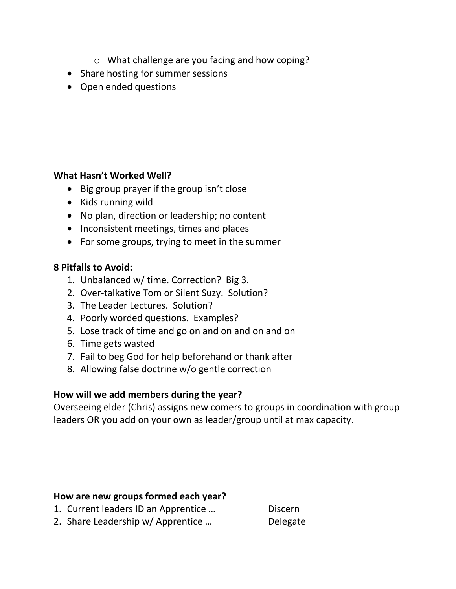- o What challenge are you facing and how coping?
- Share hosting for summer sessions
- Open ended questions

## **What Hasn't Worked Well?**

- Big group prayer if the group isn't close
- Kids running wild
- No plan, direction or leadership; no content
- Inconsistent meetings, times and places
- For some groups, trying to meet in the summer

## **8 Pitfalls to Avoid:**

- 1. Unbalanced w/ time. Correction? Big 3.
- 2. Over-talkative Tom or Silent Suzy. Solution?
- 3. The Leader Lectures. Solution?
- 4. Poorly worded questions. Examples?
- 5. Lose track of time and go on and on and on and on
- 6. Time gets wasted
- 7. Fail to beg God for help beforehand or thank after
- 8. Allowing false doctrine w/o gentle correction

# **How will we add members during the year?**

Overseeing elder (Chris) assigns new comers to groups in coordination with group leaders OR you add on your own as leader/group until at max capacity.

## **How are new groups formed each year?**

1. Current leaders ID an Apprentice ... Discern 2. Share Leadership w/ Apprentice ... Delegate